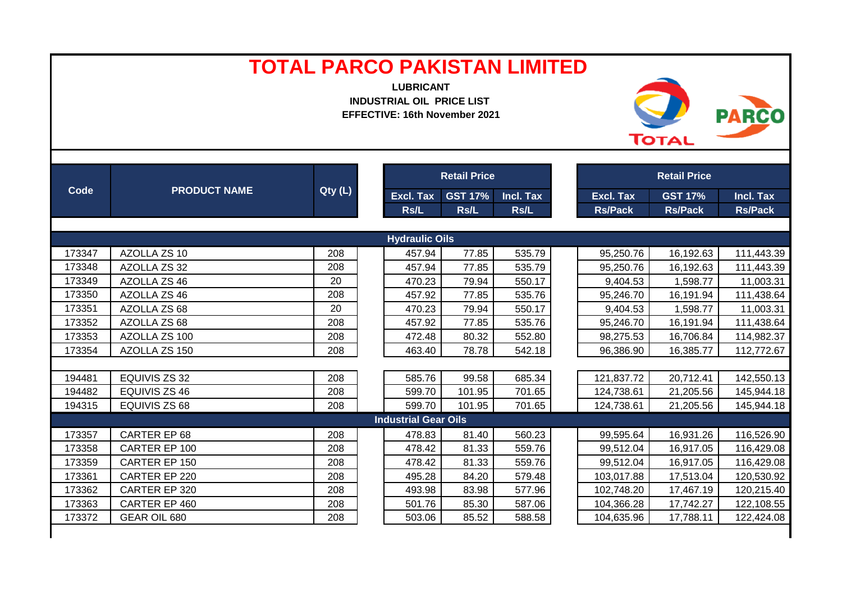| <b>Retail Price</b><br><b>Retail Price</b><br>Code<br><b>PRODUCT NAME</b><br>Qty (L)<br><b>GST 17%</b><br>Incl. Tax<br><b>Excl. Tax</b><br><b>GST 17%</b><br>Incl. Tax<br>Excl. Tax<br>Rs/L<br>Rs/L<br>Rs/L<br><b>Rs/Pack</b><br><b>Rs/Pack</b><br><b>Rs/Pack</b><br><b>Hydraulic Oils</b><br>208<br>173347<br>AZOLLA ZS 10<br>457.94<br>77.85<br>535.79<br>16,192.63<br>95,250.76<br>111,443.39<br>173348<br>77.85<br>AZOLLA ZS 32<br>208<br>457.94<br>535.79<br>95,250.76<br>16,192.63<br>111,443.39<br>173349<br>20<br>79.94<br>11,003.31<br>AZOLLA ZS 46<br>470.23<br>550.17<br>9,404.53<br>1,598.77<br>173350<br>208<br>AZOLLA ZS 46<br>457.92<br>77.85<br>535.76<br>95,246.70<br>16,191.94<br>111,438.64<br>173351<br>20<br>1,598.77<br>AZOLLA ZS 68<br>470.23<br>79.94<br>550.17<br>9,404.53<br>11,003.31<br>173352<br>AZOLLA ZS 68<br>208<br>457.92<br>77.85<br>535.76<br>16,191.94<br>111,438.64<br>95,246.70<br>AZOLLA ZS 100<br>552.80<br>173353<br>208<br>472.48<br>80.32<br>98,275.53<br>16,706.84<br>114,982.37<br>173354<br>AZOLLA ZS 150<br>208<br>463.40<br>78.78<br>542.18<br>96,386.90<br>16,385.77<br>112,772.67<br>EQUIVIS ZS 32<br>208<br>585.76<br>99.58<br>685.34<br>20,712.41<br>142,550.13<br>194481<br>121,837.72<br>EQUIVIS ZS 46<br>194482<br>208<br>599.70<br>101.95<br>701.65<br>21,205.56<br>124,738.61<br>145,944.18<br>194315<br>EQUIVIS ZS 68<br>208<br>599.70<br>101.95<br>701.65<br>124,738.61<br>21,205.56<br>145,944.18<br><b>Industrial Gear Oils</b><br>CARTER EP 68<br>16,931.26<br>173357<br>208<br>478.83<br>81.40<br>560.23<br>99,595.64<br>116,526.90<br>173358<br>CARTER EP 100<br>208<br>478.42<br>81.33<br>559.76<br>99,512.04<br>16,917.05<br>116,429.08<br>478.42<br>559.76<br>173359<br>CARTER EP 150<br>208<br>81.33<br>99,512.04<br>16,917.05<br>116,429.08<br>208<br>84.20<br>173361<br>CARTER EP 220<br>495.28<br>579.48<br>103,017.88<br>17,513.04<br>120,530.92<br>CARTER EP 320<br>208<br>83.98<br>173362<br>493.98<br>577.96<br>102,748.20<br>17,467.19<br>120,215.40<br>CARTER EP 460<br>208<br>85.30<br>17,742.27<br>173363<br>501.76<br>587.06<br>104,366.28<br>122,108.55<br>85.52<br>173372<br>GEAR OIL 680<br>208<br>503.06<br>588.58<br>104,635.96<br>17,788.11<br>122,424.08 |  | <b>TOTAL PARCO PAKISTAN LIMITED</b> | <b>LUBRICANT</b><br><b>INDUSTRIAL OIL PRICE LIST</b><br>EFFECTIVE: 16th November 2021 |  |  |  | <b>TOTAL</b> | <b>PARCO</b> |  |  |  |
|--------------------------------------------------------------------------------------------------------------------------------------------------------------------------------------------------------------------------------------------------------------------------------------------------------------------------------------------------------------------------------------------------------------------------------------------------------------------------------------------------------------------------------------------------------------------------------------------------------------------------------------------------------------------------------------------------------------------------------------------------------------------------------------------------------------------------------------------------------------------------------------------------------------------------------------------------------------------------------------------------------------------------------------------------------------------------------------------------------------------------------------------------------------------------------------------------------------------------------------------------------------------------------------------------------------------------------------------------------------------------------------------------------------------------------------------------------------------------------------------------------------------------------------------------------------------------------------------------------------------------------------------------------------------------------------------------------------------------------------------------------------------------------------------------------------------------------------------------------------------------------------------------------------------------------------------------------------------------------------------------------------------------------------------------------------------------------------------------------------------------------------------------------------------------------------------------------------------------------------------------|--|-------------------------------------|---------------------------------------------------------------------------------------|--|--|--|--------------|--------------|--|--|--|
|                                                                                                                                                                                                                                                                                                                                                                                                                                                                                                                                                                                                                                                                                                                                                                                                                                                                                                                                                                                                                                                                                                                                                                                                                                                                                                                                                                                                                                                                                                                                                                                                                                                                                                                                                                                                                                                                                                                                                                                                                                                                                                                                                                                                                                                  |  |                                     |                                                                                       |  |  |  |              |              |  |  |  |
|                                                                                                                                                                                                                                                                                                                                                                                                                                                                                                                                                                                                                                                                                                                                                                                                                                                                                                                                                                                                                                                                                                                                                                                                                                                                                                                                                                                                                                                                                                                                                                                                                                                                                                                                                                                                                                                                                                                                                                                                                                                                                                                                                                                                                                                  |  |                                     |                                                                                       |  |  |  |              |              |  |  |  |
|                                                                                                                                                                                                                                                                                                                                                                                                                                                                                                                                                                                                                                                                                                                                                                                                                                                                                                                                                                                                                                                                                                                                                                                                                                                                                                                                                                                                                                                                                                                                                                                                                                                                                                                                                                                                                                                                                                                                                                                                                                                                                                                                                                                                                                                  |  |                                     |                                                                                       |  |  |  |              |              |  |  |  |
|                                                                                                                                                                                                                                                                                                                                                                                                                                                                                                                                                                                                                                                                                                                                                                                                                                                                                                                                                                                                                                                                                                                                                                                                                                                                                                                                                                                                                                                                                                                                                                                                                                                                                                                                                                                                                                                                                                                                                                                                                                                                                                                                                                                                                                                  |  |                                     |                                                                                       |  |  |  |              |              |  |  |  |
|                                                                                                                                                                                                                                                                                                                                                                                                                                                                                                                                                                                                                                                                                                                                                                                                                                                                                                                                                                                                                                                                                                                                                                                                                                                                                                                                                                                                                                                                                                                                                                                                                                                                                                                                                                                                                                                                                                                                                                                                                                                                                                                                                                                                                                                  |  |                                     |                                                                                       |  |  |  |              |              |  |  |  |
|                                                                                                                                                                                                                                                                                                                                                                                                                                                                                                                                                                                                                                                                                                                                                                                                                                                                                                                                                                                                                                                                                                                                                                                                                                                                                                                                                                                                                                                                                                                                                                                                                                                                                                                                                                                                                                                                                                                                                                                                                                                                                                                                                                                                                                                  |  |                                     |                                                                                       |  |  |  |              |              |  |  |  |
|                                                                                                                                                                                                                                                                                                                                                                                                                                                                                                                                                                                                                                                                                                                                                                                                                                                                                                                                                                                                                                                                                                                                                                                                                                                                                                                                                                                                                                                                                                                                                                                                                                                                                                                                                                                                                                                                                                                                                                                                                                                                                                                                                                                                                                                  |  |                                     |                                                                                       |  |  |  |              |              |  |  |  |
|                                                                                                                                                                                                                                                                                                                                                                                                                                                                                                                                                                                                                                                                                                                                                                                                                                                                                                                                                                                                                                                                                                                                                                                                                                                                                                                                                                                                                                                                                                                                                                                                                                                                                                                                                                                                                                                                                                                                                                                                                                                                                                                                                                                                                                                  |  |                                     |                                                                                       |  |  |  |              |              |  |  |  |
|                                                                                                                                                                                                                                                                                                                                                                                                                                                                                                                                                                                                                                                                                                                                                                                                                                                                                                                                                                                                                                                                                                                                                                                                                                                                                                                                                                                                                                                                                                                                                                                                                                                                                                                                                                                                                                                                                                                                                                                                                                                                                                                                                                                                                                                  |  |                                     |                                                                                       |  |  |  |              |              |  |  |  |
|                                                                                                                                                                                                                                                                                                                                                                                                                                                                                                                                                                                                                                                                                                                                                                                                                                                                                                                                                                                                                                                                                                                                                                                                                                                                                                                                                                                                                                                                                                                                                                                                                                                                                                                                                                                                                                                                                                                                                                                                                                                                                                                                                                                                                                                  |  |                                     |                                                                                       |  |  |  |              |              |  |  |  |
|                                                                                                                                                                                                                                                                                                                                                                                                                                                                                                                                                                                                                                                                                                                                                                                                                                                                                                                                                                                                                                                                                                                                                                                                                                                                                                                                                                                                                                                                                                                                                                                                                                                                                                                                                                                                                                                                                                                                                                                                                                                                                                                                                                                                                                                  |  |                                     |                                                                                       |  |  |  |              |              |  |  |  |
|                                                                                                                                                                                                                                                                                                                                                                                                                                                                                                                                                                                                                                                                                                                                                                                                                                                                                                                                                                                                                                                                                                                                                                                                                                                                                                                                                                                                                                                                                                                                                                                                                                                                                                                                                                                                                                                                                                                                                                                                                                                                                                                                                                                                                                                  |  |                                     |                                                                                       |  |  |  |              |              |  |  |  |
|                                                                                                                                                                                                                                                                                                                                                                                                                                                                                                                                                                                                                                                                                                                                                                                                                                                                                                                                                                                                                                                                                                                                                                                                                                                                                                                                                                                                                                                                                                                                                                                                                                                                                                                                                                                                                                                                                                                                                                                                                                                                                                                                                                                                                                                  |  |                                     |                                                                                       |  |  |  |              |              |  |  |  |
|                                                                                                                                                                                                                                                                                                                                                                                                                                                                                                                                                                                                                                                                                                                                                                                                                                                                                                                                                                                                                                                                                                                                                                                                                                                                                                                                                                                                                                                                                                                                                                                                                                                                                                                                                                                                                                                                                                                                                                                                                                                                                                                                                                                                                                                  |  |                                     |                                                                                       |  |  |  |              |              |  |  |  |
|                                                                                                                                                                                                                                                                                                                                                                                                                                                                                                                                                                                                                                                                                                                                                                                                                                                                                                                                                                                                                                                                                                                                                                                                                                                                                                                                                                                                                                                                                                                                                                                                                                                                                                                                                                                                                                                                                                                                                                                                                                                                                                                                                                                                                                                  |  |                                     |                                                                                       |  |  |  |              |              |  |  |  |
|                                                                                                                                                                                                                                                                                                                                                                                                                                                                                                                                                                                                                                                                                                                                                                                                                                                                                                                                                                                                                                                                                                                                                                                                                                                                                                                                                                                                                                                                                                                                                                                                                                                                                                                                                                                                                                                                                                                                                                                                                                                                                                                                                                                                                                                  |  |                                     |                                                                                       |  |  |  |              |              |  |  |  |
|                                                                                                                                                                                                                                                                                                                                                                                                                                                                                                                                                                                                                                                                                                                                                                                                                                                                                                                                                                                                                                                                                                                                                                                                                                                                                                                                                                                                                                                                                                                                                                                                                                                                                                                                                                                                                                                                                                                                                                                                                                                                                                                                                                                                                                                  |  |                                     |                                                                                       |  |  |  |              |              |  |  |  |
|                                                                                                                                                                                                                                                                                                                                                                                                                                                                                                                                                                                                                                                                                                                                                                                                                                                                                                                                                                                                                                                                                                                                                                                                                                                                                                                                                                                                                                                                                                                                                                                                                                                                                                                                                                                                                                                                                                                                                                                                                                                                                                                                                                                                                                                  |  |                                     |                                                                                       |  |  |  |              |              |  |  |  |
|                                                                                                                                                                                                                                                                                                                                                                                                                                                                                                                                                                                                                                                                                                                                                                                                                                                                                                                                                                                                                                                                                                                                                                                                                                                                                                                                                                                                                                                                                                                                                                                                                                                                                                                                                                                                                                                                                                                                                                                                                                                                                                                                                                                                                                                  |  |                                     |                                                                                       |  |  |  |              |              |  |  |  |
|                                                                                                                                                                                                                                                                                                                                                                                                                                                                                                                                                                                                                                                                                                                                                                                                                                                                                                                                                                                                                                                                                                                                                                                                                                                                                                                                                                                                                                                                                                                                                                                                                                                                                                                                                                                                                                                                                                                                                                                                                                                                                                                                                                                                                                                  |  |                                     |                                                                                       |  |  |  |              |              |  |  |  |
|                                                                                                                                                                                                                                                                                                                                                                                                                                                                                                                                                                                                                                                                                                                                                                                                                                                                                                                                                                                                                                                                                                                                                                                                                                                                                                                                                                                                                                                                                                                                                                                                                                                                                                                                                                                                                                                                                                                                                                                                                                                                                                                                                                                                                                                  |  |                                     |                                                                                       |  |  |  |              |              |  |  |  |
|                                                                                                                                                                                                                                                                                                                                                                                                                                                                                                                                                                                                                                                                                                                                                                                                                                                                                                                                                                                                                                                                                                                                                                                                                                                                                                                                                                                                                                                                                                                                                                                                                                                                                                                                                                                                                                                                                                                                                                                                                                                                                                                                                                                                                                                  |  |                                     |                                                                                       |  |  |  |              |              |  |  |  |
|                                                                                                                                                                                                                                                                                                                                                                                                                                                                                                                                                                                                                                                                                                                                                                                                                                                                                                                                                                                                                                                                                                                                                                                                                                                                                                                                                                                                                                                                                                                                                                                                                                                                                                                                                                                                                                                                                                                                                                                                                                                                                                                                                                                                                                                  |  |                                     |                                                                                       |  |  |  |              |              |  |  |  |
|                                                                                                                                                                                                                                                                                                                                                                                                                                                                                                                                                                                                                                                                                                                                                                                                                                                                                                                                                                                                                                                                                                                                                                                                                                                                                                                                                                                                                                                                                                                                                                                                                                                                                                                                                                                                                                                                                                                                                                                                                                                                                                                                                                                                                                                  |  |                                     |                                                                                       |  |  |  |              |              |  |  |  |
|                                                                                                                                                                                                                                                                                                                                                                                                                                                                                                                                                                                                                                                                                                                                                                                                                                                                                                                                                                                                                                                                                                                                                                                                                                                                                                                                                                                                                                                                                                                                                                                                                                                                                                                                                                                                                                                                                                                                                                                                                                                                                                                                                                                                                                                  |  |                                     |                                                                                       |  |  |  |              |              |  |  |  |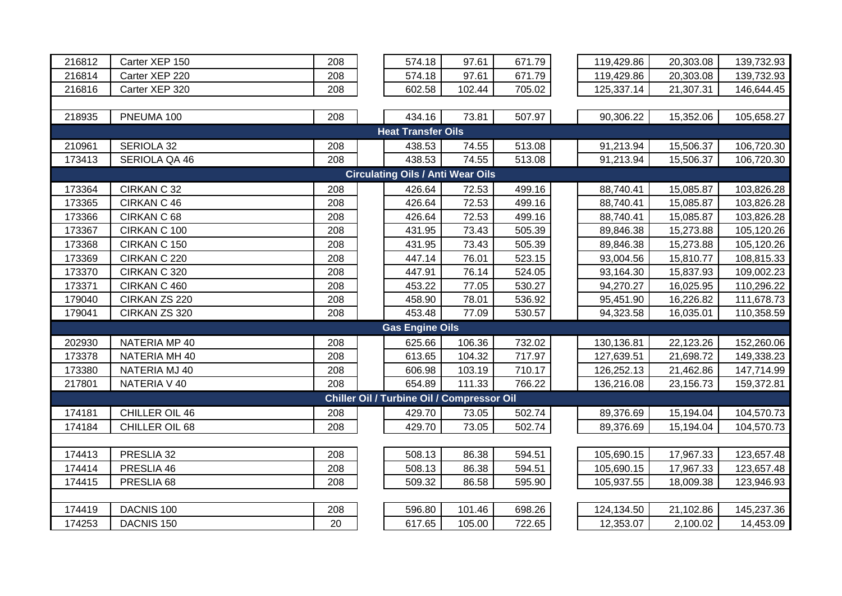| 216812                                   | Carter XEP 150        | 208 |  | 574.18                                     | 97.61  | 671.79 |  | 119,429.86 | 20,303.08 | 139,732.93 |  |  |
|------------------------------------------|-----------------------|-----|--|--------------------------------------------|--------|--------|--|------------|-----------|------------|--|--|
| 216814                                   | Carter XEP 220        | 208 |  | 574.18                                     | 97.61  | 671.79 |  | 119,429.86 | 20,303.08 | 139,732.93 |  |  |
| 216816                                   | Carter XEP 320        | 208 |  | 602.58                                     | 102.44 | 705.02 |  | 125,337.14 | 21,307.31 | 146,644.45 |  |  |
|                                          |                       |     |  |                                            |        |        |  |            |           |            |  |  |
| 218935                                   | PNEUMA 100            | 208 |  | 434.16                                     | 73.81  | 507.97 |  | 90,306.22  | 15,352.06 | 105,658.27 |  |  |
| <b>Heat Transfer Oils</b>                |                       |     |  |                                            |        |        |  |            |           |            |  |  |
| 210961                                   | SERIOLA 32            | 208 |  | 438.53                                     | 74.55  | 513.08 |  | 91,213.94  | 15,506.37 | 106,720.30 |  |  |
| 173413                                   | SERIOLA QA 46         | 208 |  | 438.53                                     | 74.55  | 513.08 |  | 91,213.94  | 15,506.37 | 106,720.30 |  |  |
| <b>Circulating Oils / Anti Wear Oils</b> |                       |     |  |                                            |        |        |  |            |           |            |  |  |
| 173364                                   | CIRKAN C 32           | 208 |  | 426.64                                     | 72.53  | 499.16 |  | 88,740.41  | 15,085.87 | 103,826.28 |  |  |
| 173365                                   | CIRKAN C 46           | 208 |  | 426.64                                     | 72.53  | 499.16 |  | 88,740.41  | 15,085.87 | 103,826.28 |  |  |
| 173366                                   | CIRKAN C 68           | 208 |  | 426.64                                     | 72.53  | 499.16 |  | 88,740.41  | 15,085.87 | 103,826.28 |  |  |
| 173367                                   | CIRKAN C 100          | 208 |  | 431.95                                     | 73.43  | 505.39 |  | 89,846.38  | 15,273.88 | 105,120.26 |  |  |
| 173368                                   | CIRKAN C 150          | 208 |  | 431.95                                     | 73.43  | 505.39 |  | 89,846.38  | 15,273.88 | 105,120.26 |  |  |
| 173369                                   | CIRKAN C 220          | 208 |  | 447.14                                     | 76.01  | 523.15 |  | 93,004.56  | 15,810.77 | 108,815.33 |  |  |
| 173370                                   | CIRKAN C 320          | 208 |  | 447.91                                     | 76.14  | 524.05 |  | 93,164.30  | 15,837.93 | 109,002.23 |  |  |
| 173371                                   | CIRKAN C 460          | 208 |  | 453.22                                     | 77.05  | 530.27 |  | 94,270.27  | 16,025.95 | 110,296.22 |  |  |
| 179040                                   | CIRKAN ZS 220         | 208 |  | 458.90                                     | 78.01  | 536.92 |  | 95,451.90  | 16,226.82 | 111,678.73 |  |  |
| 179041                                   | CIRKAN ZS 320         | 208 |  | 453.48                                     | 77.09  | 530.57 |  | 94,323.58  | 16,035.01 | 110,358.59 |  |  |
|                                          |                       |     |  | <b>Gas Engine Oils</b>                     |        |        |  |            |           |            |  |  |
| 202930                                   | NATERIA MP 40         | 208 |  | 625.66                                     | 106.36 | 732.02 |  | 130,136.81 | 22,123.26 | 152,260.06 |  |  |
| 173378                                   | NATERIA MH 40         | 208 |  | 613.65                                     | 104.32 | 717.97 |  | 127,639.51 | 21,698.72 | 149,338.23 |  |  |
| 173380                                   | NATERIA MJ 40         | 208 |  | 606.98                                     | 103.19 | 710.17 |  | 126,252.13 | 21,462.86 | 147,714.99 |  |  |
| 217801                                   | NATERIA V 40          | 208 |  | 654.89                                     | 111.33 | 766.22 |  | 136,216.08 | 23,156.73 | 159,372.81 |  |  |
|                                          |                       |     |  | Chiller Oil / Turbine Oil / Compressor Oil |        |        |  |            |           |            |  |  |
| 174181                                   | CHILLER OIL 46        | 208 |  | 429.70                                     | 73.05  | 502.74 |  | 89,376.69  | 15,194.04 | 104,570.73 |  |  |
| 174184                                   | CHILLER OIL 68        | 208 |  | 429.70                                     | 73.05  | 502.74 |  | 89,376.69  | 15,194.04 | 104,570.73 |  |  |
|                                          |                       |     |  |                                            |        |        |  |            |           |            |  |  |
| 174413                                   | PRESLIA 32            | 208 |  | 508.13                                     | 86.38  | 594.51 |  | 105,690.15 | 17,967.33 | 123,657.48 |  |  |
| 174414                                   | PRESLIA 46            | 208 |  | 508.13                                     | 86.38  | 594.51 |  | 105,690.15 | 17,967.33 | 123,657.48 |  |  |
| 174415                                   | PRESLIA 68            | 208 |  | 509.32                                     | 86.58  | 595.90 |  | 105,937.55 | 18,009.38 | 123,946.93 |  |  |
|                                          |                       |     |  |                                            |        |        |  |            |           |            |  |  |
| 174419                                   | DACNIS 100            | 208 |  | 596.80                                     | 101.46 | 698.26 |  | 124,134.50 | 21,102.86 | 145,237.36 |  |  |
| 174253                                   | DACNIS <sub>150</sub> | 20  |  | 617.65                                     | 105.00 | 722.65 |  | 12,353.07  | 2,100.02  | 14,453.09  |  |  |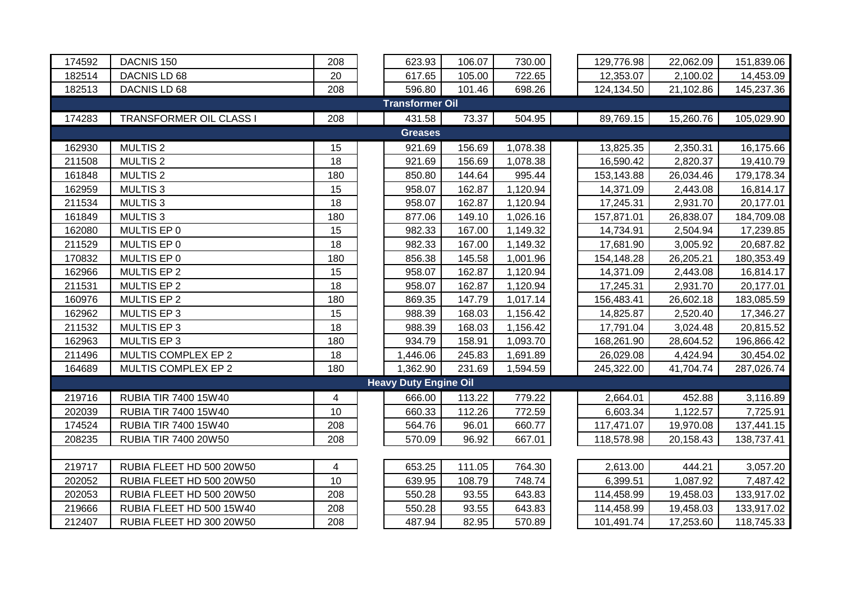| 174592                 | DACNIS <sub>150</sub>       | 208 |  | 623.93                       | 106.07 | 730.00   |  | 129,776.98 | 22,062.09 | 151,839.06 |  |  |  |
|------------------------|-----------------------------|-----|--|------------------------------|--------|----------|--|------------|-----------|------------|--|--|--|
| 182514                 | DACNIS LD 68                | 20  |  | 617.65                       | 105.00 | 722.65   |  | 12,353.07  | 2,100.02  | 14,453.09  |  |  |  |
| 182513                 | DACNIS LD 68                | 208 |  | 596.80                       | 101.46 | 698.26   |  | 124,134.50 | 21,102.86 | 145,237.36 |  |  |  |
| <b>Transformer Oil</b> |                             |     |  |                              |        |          |  |            |           |            |  |  |  |
| 174283                 | TRANSFORMER OIL CLASS I     | 208 |  | 431.58                       | 73.37  | 504.95   |  | 89,769.15  | 15,260.76 | 105,029.90 |  |  |  |
|                        |                             |     |  | <b>Greases</b>               |        |          |  |            |           |            |  |  |  |
| 162930                 | <b>MULTIS2</b>              | 15  |  | 921.69                       | 156.69 | 1,078.38 |  | 13,825.35  | 2,350.31  | 16,175.66  |  |  |  |
| 211508                 | <b>MULTIS2</b>              | 18  |  | 921.69                       | 156.69 | 1,078.38 |  | 16,590.42  | 2,820.37  | 19,410.79  |  |  |  |
| 161848                 | <b>MULTIS2</b>              | 180 |  | 850.80                       | 144.64 | 995.44   |  | 153,143.88 | 26,034.46 | 179,178.34 |  |  |  |
| 162959                 | <b>MULTIS3</b>              | 15  |  | 958.07                       | 162.87 | 1,120.94 |  | 14,371.09  | 2,443.08  | 16,814.17  |  |  |  |
| 211534                 | <b>MULTIS3</b>              | 18  |  | 958.07                       | 162.87 | 1,120.94 |  | 17,245.31  | 2,931.70  | 20,177.01  |  |  |  |
| 161849                 | <b>MULTIS3</b>              | 180 |  | 877.06                       | 149.10 | 1,026.16 |  | 157,871.01 | 26,838.07 | 184,709.08 |  |  |  |
| 162080                 | MULTIS EP 0                 | 15  |  | 982.33                       | 167.00 | 1,149.32 |  | 14,734.91  | 2,504.94  | 17,239.85  |  |  |  |
| 211529                 | MULTIS EP 0                 | 18  |  | 982.33                       | 167.00 | 1,149.32 |  | 17,681.90  | 3,005.92  | 20,687.82  |  |  |  |
| 170832                 | MULTIS EP 0                 | 180 |  | 856.38                       | 145.58 | 1,001.96 |  | 154,148.28 | 26,205.21 | 180,353.49 |  |  |  |
| 162966                 | MULTIS EP 2                 | 15  |  | 958.07                       | 162.87 | 1,120.94 |  | 14,371.09  | 2,443.08  | 16,814.17  |  |  |  |
| 211531                 | MULTIS EP 2                 | 18  |  | 958.07                       | 162.87 | 1,120.94 |  | 17,245.31  | 2,931.70  | 20,177.01  |  |  |  |
| 160976                 | <b>MULTIS EP 2</b>          | 180 |  | 869.35                       | 147.79 | 1,017.14 |  | 156,483.41 | 26,602.18 | 183,085.59 |  |  |  |
| 162962                 | <b>MULTIS EP 3</b>          | 15  |  | 988.39                       | 168.03 | 1,156.42 |  | 14,825.87  | 2,520.40  | 17,346.27  |  |  |  |
| 211532                 | MULTIS EP 3                 | 18  |  | 988.39                       | 168.03 | 1,156.42 |  | 17,791.04  | 3,024.48  | 20,815.52  |  |  |  |
| 162963                 | <b>MULTIS EP 3</b>          | 180 |  | 934.79                       | 158.91 | 1,093.70 |  | 168,261.90 | 28,604.52 | 196,866.42 |  |  |  |
| 211496                 | MULTIS COMPLEX EP 2         | 18  |  | 1,446.06                     | 245.83 | 1,691.89 |  | 26,029.08  | 4,424.94  | 30,454.02  |  |  |  |
| 164689                 | MULTIS COMPLEX EP 2         | 180 |  | 1,362.90                     | 231.69 | 1,594.59 |  | 245,322.00 | 41,704.74 | 287,026.74 |  |  |  |
|                        |                             |     |  | <b>Heavy Duty Engine Oil</b> |        |          |  |            |           |            |  |  |  |
| 219716                 | <b>RUBIA TIR 7400 15W40</b> | 4   |  | 666.00                       | 113.22 | 779.22   |  | 2,664.01   | 452.88    | 3,116.89   |  |  |  |
| 202039                 | <b>RUBIA TIR 7400 15W40</b> | 10  |  | 660.33                       | 112.26 | 772.59   |  | 6,603.34   | 1,122.57  | 7,725.91   |  |  |  |
| 174524                 | RUBIA TIR 7400 15W40        | 208 |  | 564.76                       | 96.01  | 660.77   |  | 117,471.07 | 19,970.08 | 137,441.15 |  |  |  |
| 208235                 | RUBIA TIR 7400 20W50        | 208 |  | 570.09                       | 96.92  | 667.01   |  | 118,578.98 | 20,158.43 | 138,737.41 |  |  |  |
|                        |                             |     |  |                              |        |          |  |            |           |            |  |  |  |
| 219717                 | RUBIA FLEET HD 500 20W50    | 4   |  | 653.25                       | 111.05 | 764.30   |  | 2,613.00   | 444.21    | 3,057.20   |  |  |  |
| 202052                 | RUBIA FLEET HD 500 20W50    | 10  |  | 639.95                       | 108.79 | 748.74   |  | 6,399.51   | 1,087.92  | 7,487.42   |  |  |  |
| 202053                 | RUBIA FLEET HD 500 20W50    | 208 |  | 550.28                       | 93.55  | 643.83   |  | 114,458.99 | 19,458.03 | 133,917.02 |  |  |  |
| 219666                 | RUBIA FLEET HD 500 15W40    | 208 |  | 550.28                       | 93.55  | 643.83   |  | 114,458.99 | 19,458.03 | 133,917.02 |  |  |  |
| 212407                 | RUBIA FLEET HD 300 20W50    | 208 |  | 487.94                       | 82.95  | 570.89   |  | 101,491.74 | 17,253.60 | 118,745.33 |  |  |  |